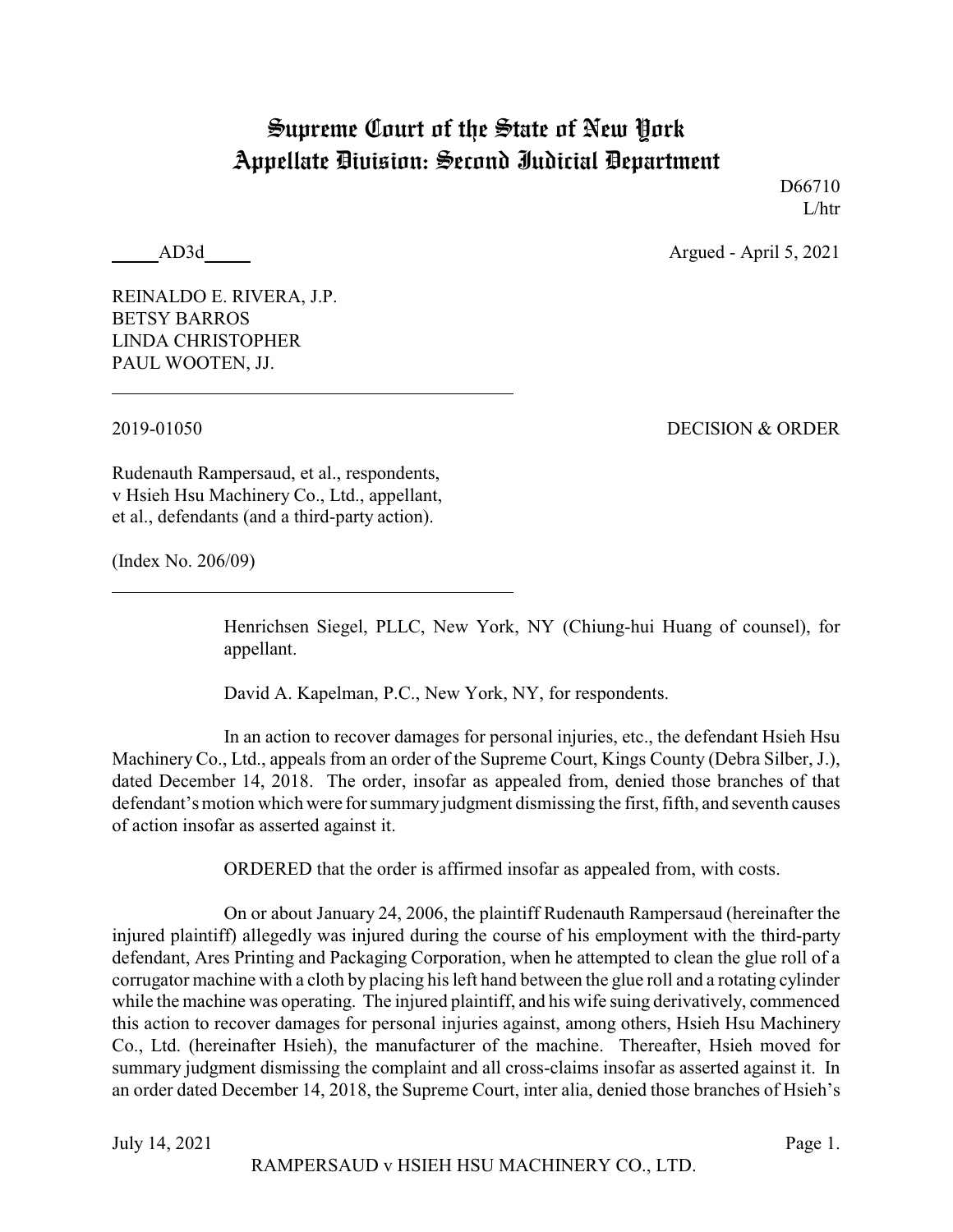## Supreme Court of the State of New York Appellate Division: Second Judicial Department

D66710 L/htr

AD3d Argued - April 5, 2021

REINALDO E. RIVERA, J.P. BETSY BARROS LINDA CHRISTOPHER PAUL WOOTEN, JJ.

2019-01050 DECISION & ORDER

Rudenauth Rampersaud, et al., respondents, v Hsieh Hsu Machinery Co., Ltd., appellant, et al., defendants (and a third-party action).

(Index No. 206/09)

Henrichsen Siegel, PLLC, New York, NY (Chiung-hui Huang of counsel), for appellant.

David A. Kapelman, P.C., New York, NY, for respondents.

In an action to recover damages for personal injuries, etc., the defendant Hsieh Hsu Machinery Co., Ltd., appeals from an order of the Supreme Court, Kings County (Debra Silber, J.), dated December 14, 2018. The order, insofar as appealed from, denied those branches of that defendant's motion which were for summary judgment dismissing the first, fifth, and seventh causes of action insofar as asserted against it.

ORDERED that the order is affirmed insofar as appealed from, with costs.

On or about January 24, 2006, the plaintiff Rudenauth Rampersaud (hereinafter the injured plaintiff) allegedly was injured during the course of his employment with the third-party defendant, Ares Printing and Packaging Corporation, when he attempted to clean the glue roll of a corrugator machine with a cloth by placing his left hand between the glue roll and a rotating cylinder while the machine was operating. The injured plaintiff, and his wife suing derivatively, commenced this action to recover damages for personal injuries against, among others, Hsieh Hsu Machinery Co., Ltd. (hereinafter Hsieh), the manufacturer of the machine. Thereafter, Hsieh moved for summary judgment dismissing the complaint and all cross-claims insofar as asserted against it. In an order dated December 14, 2018, the Supreme Court, inter alia, denied those branches of Hsieh's

July 14, 2021 Page 1.

RAMPERSAUD v HSIEH HSU MACHINERY CO., LTD.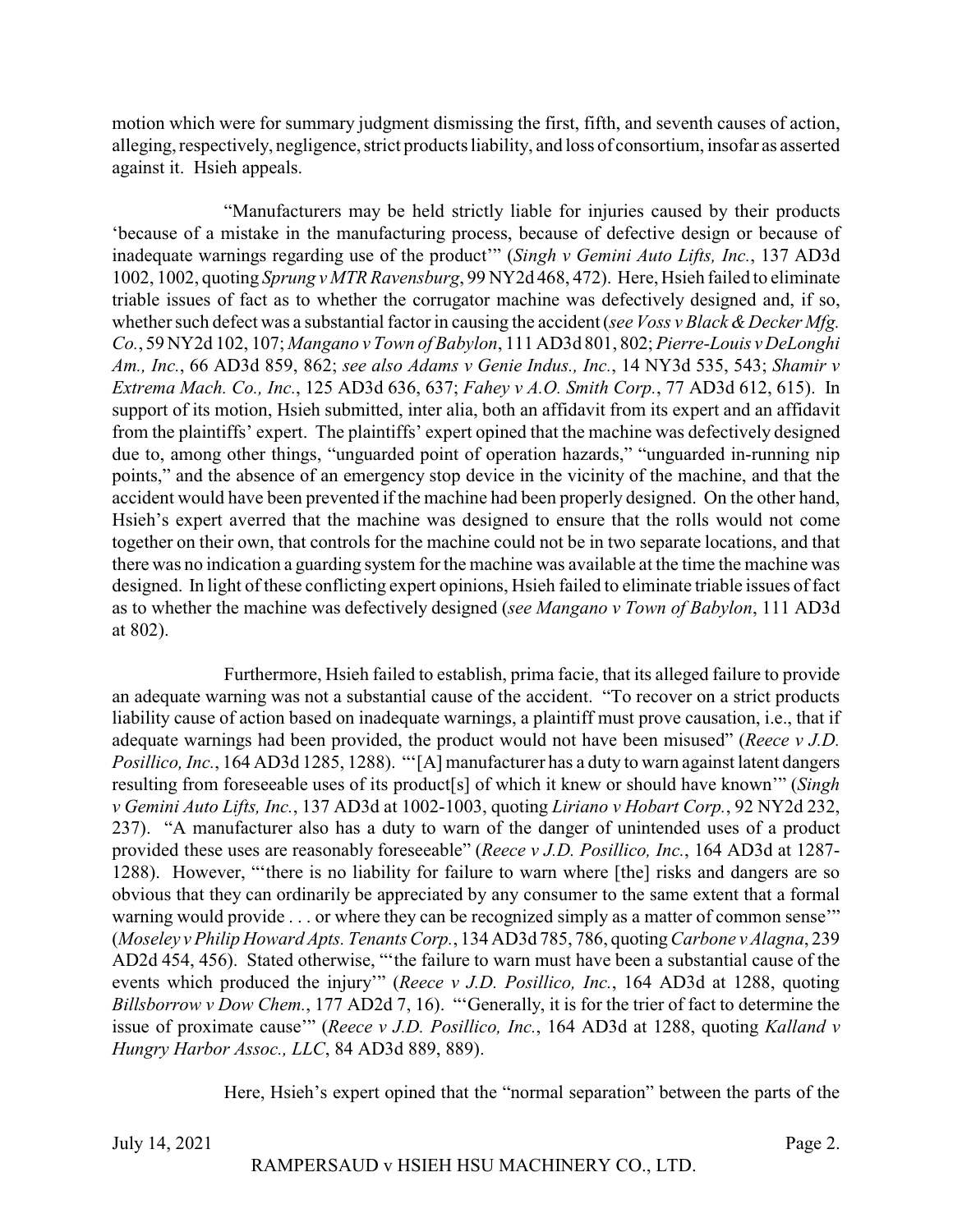motion which were for summary judgment dismissing the first, fifth, and seventh causes of action, alleging, respectively, negligence, strict products liability, and loss of consortium, insofar as asserted against it. Hsieh appeals.

"Manufacturers may be held strictly liable for injuries caused by their products 'because of a mistake in the manufacturing process, because of defective design or because of inadequate warnings regarding use of the product'" (*Singh v Gemini Auto Lifts, Inc.*, 137 AD3d 1002, 1002, quoting *Sprung v MTR Ravensburg*, 99 NY2d 468, 472). Here, Hsieh failed to eliminate triable issues of fact as to whether the corrugator machine was defectively designed and, if so, whether such defect was a substantial factor in causing the accident (*see Voss v Black & Decker Mfg.*) *Co.*, 59 NY2d 102, 107; *Mangano v Town of Babylon*, 111 AD3d 801, 802; *Pierre-Louis v DeLonghi Am., Inc.*, 66 AD3d 859, 862; *see also Adams v Genie Indus., Inc.*, 14 NY3d 535, 543; *Shamir v Extrema Mach. Co., Inc.*, 125 AD3d 636, 637; *Fahey v A.O. Smith Corp.*, 77 AD3d 612, 615). In support of its motion, Hsieh submitted, inter alia, both an affidavit from its expert and an affidavit from the plaintiffs' expert. The plaintiffs' expert opined that the machine was defectively designed due to, among other things, "unguarded point of operation hazards," "unguarded in-running nip points," and the absence of an emergency stop device in the vicinity of the machine, and that the accident would have been prevented if the machine had been properly designed. On the other hand, Hsieh's expert averred that the machine was designed to ensure that the rolls would not come together on their own, that controls for the machine could not be in two separate locations, and that there was no indication a guarding system for the machine was available at the time the machine was designed. In light of these conflicting expert opinions, Hsieh failed to eliminate triable issues of fact as to whether the machine was defectively designed (*see Mangano v Town of Babylon*, 111 AD3d at 802).

Furthermore, Hsieh failed to establish, prima facie, that its alleged failure to provide an adequate warning was not a substantial cause of the accident. "To recover on a strict products liability cause of action based on inadequate warnings, a plaintiff must prove causation, i.e., that if adequate warnings had been provided, the product would not have been misused" (*Reece v J.D. Posillico, Inc.*, 164 AD3d 1285, 1288). "'[A] manufacturer has a duty to warn against latent dangers resulting from foreseeable uses of its product[s] of which it knew or should have known'" (*Singh v Gemini Auto Lifts, Inc.*, 137 AD3d at 1002-1003, quoting *Liriano v Hobart Corp.*, 92 NY2d 232, 237). "A manufacturer also has a duty to warn of the danger of unintended uses of a product provided these uses are reasonably foreseeable" (*Reece v J.D. Posillico, Inc.*, 164 AD3d at 1287- 1288). However, "'there is no liability for failure to warn where [the] risks and dangers are so obvious that they can ordinarily be appreciated by any consumer to the same extent that a formal warning would provide . . . or where they can be recognized simply as a matter of common sense'" (*Moseley v Philip Howard Apts. Tenants Corp.*, 134 AD3d 785, 786, quoting*Carbone v Alagna*, 239 AD2d 454, 456). Stated otherwise, "'the failure to warn must have been a substantial cause of the events which produced the injury'" (*Reece v J.D. Posillico, Inc.*, 164 AD3d at 1288, quoting *Billsborrow v Dow Chem.*, 177 AD2d 7, 16). "'Generally, it is for the trier of fact to determine the issue of proximate cause'" (*Reece v J.D. Posillico, Inc.*, 164 AD3d at 1288, quoting *Kalland v Hungry Harbor Assoc., LLC*, 84 AD3d 889, 889).

Here, Hsieh's expert opined that the "normal separation" between the parts of the

July 14, 2021 Page 2.

RAMPERSAUD v HSIEH HSU MACHINERY CO., LTD.